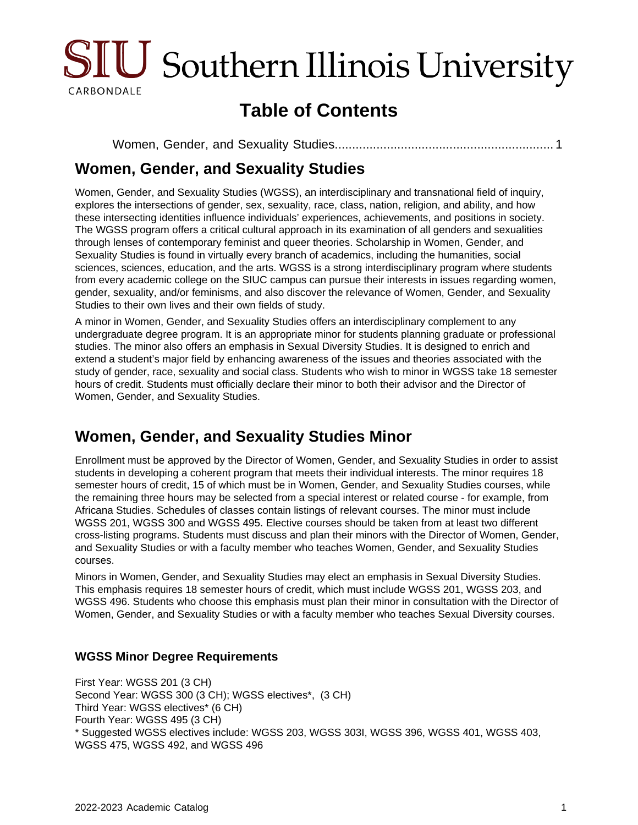

# **Table of Contents**

```
Women, Gender, and Sexuality Studies............................................................... 1
```
### <span id="page-0-0"></span>**Women, Gender, and Sexuality Studies**

Women, Gender, and Sexuality Studies (WGSS), an interdisciplinary and transnational field of inquiry, explores the intersections of gender, sex, sexuality, race, class, nation, religion, and ability, and how these intersecting identities influence individuals' experiences, achievements, and positions in society. The WGSS program offers a critical cultural approach in its examination of all genders and sexualities through lenses of contemporary feminist and queer theories. Scholarship in Women, Gender, and Sexuality Studies is found in virtually every branch of academics, including the humanities, social sciences, sciences, education, and the arts. WGSS is a strong interdisciplinary program where students from every academic college on the SIUC campus can pursue their interests in issues regarding women, gender, sexuality, and/or feminisms, and also discover the relevance of Women, Gender, and Sexuality Studies to their own lives and their own fields of study.

A minor in Women, Gender, and Sexuality Studies offers an interdisciplinary complement to any undergraduate degree program. It is an appropriate minor for students planning graduate or professional studies. The minor also offers an emphasis in Sexual Diversity Studies. It is designed to enrich and extend a student's major field by enhancing awareness of the issues and theories associated with the study of gender, race, sexuality and social class. Students who wish to minor in WGSS take 18 semester hours of credit. Students must officially declare their minor to both their advisor and the Director of Women, Gender, and Sexuality Studies.

## **Women, Gender, and Sexuality Studies Minor**

Enrollment must be approved by the Director of Women, Gender, and Sexuality Studies in order to assist students in developing a coherent program that meets their individual interests. The minor requires 18 semester hours of credit, 15 of which must be in Women, Gender, and Sexuality Studies courses, while the remaining three hours may be selected from a special interest or related course - for example, from Africana Studies. Schedules of classes contain listings of relevant courses. The minor must include WGSS 201, WGSS 300 and WGSS 495. Elective courses should be taken from at least two different cross-listing programs. Students must discuss and plan their minors with the Director of Women, Gender, and Sexuality Studies or with a faculty member who teaches Women, Gender, and Sexuality Studies courses.

Minors in Women, Gender, and Sexuality Studies may elect an emphasis in Sexual Diversity Studies. This emphasis requires 18 semester hours of credit, which must include WGSS 201, WGSS 203, and WGSS 496. Students who choose this emphasis must plan their minor in consultation with the Director of Women, Gender, and Sexuality Studies or with a faculty member who teaches Sexual Diversity courses.

#### **WGSS Minor Degree Requirements**

First Year: WGSS 201 (3 CH) Second Year: WGSS 300 (3 CH); WGSS electives\*, (3 CH) Third Year: WGSS electives\* (6 CH) Fourth Year: WGSS 495 (3 CH) \* Suggested WGSS electives include: WGSS 203, WGSS 303I, WGSS 396, WGSS 401, WGSS 403, WGSS 475, WGSS 492, and WGSS 496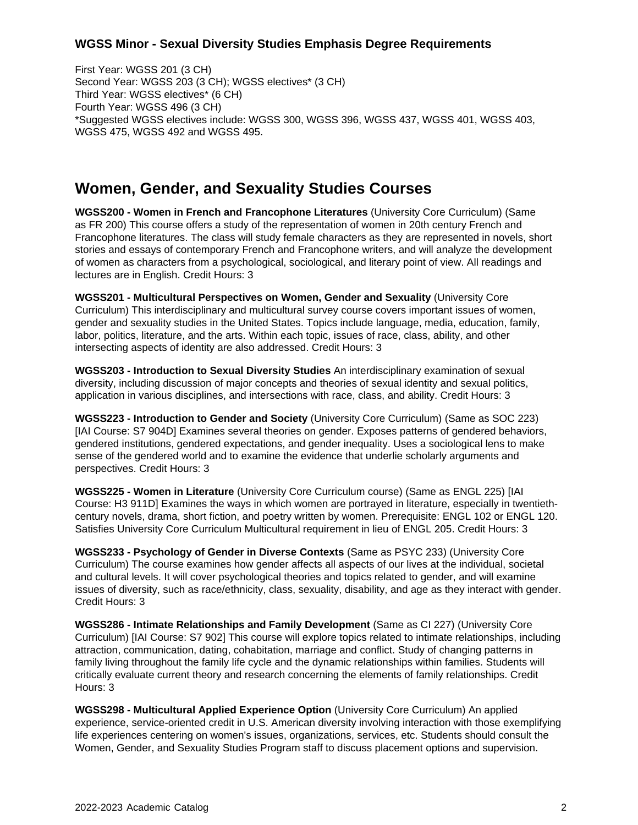#### **WGSS Minor - Sexual Diversity Studies Emphasis Degree Requirements**

First Year: WGSS 201 (3 CH) Second Year: WGSS 203 (3 CH); WGSS electives\* (3 CH) Third Year: WGSS electives\* (6 CH) Fourth Year: WGSS 496 (3 CH) \*Suggested WGSS electives include: WGSS 300, WGSS 396, WGSS 437, WGSS 401, WGSS 403, WGSS 475, WGSS 492 and WGSS 495.

### **Women, Gender, and Sexuality Studies Courses**

**WGSS200 - Women in French and Francophone Literatures** (University Core Curriculum) (Same as FR 200) This course offers a study of the representation of women in 20th century French and Francophone literatures. The class will study female characters as they are represented in novels, short stories and essays of contemporary French and Francophone writers, and will analyze the development of women as characters from a psychological, sociological, and literary point of view. All readings and lectures are in English. Credit Hours: 3

**WGSS201 - Multicultural Perspectives on Women, Gender and Sexuality** (University Core Curriculum) This interdisciplinary and multicultural survey course covers important issues of women, gender and sexuality studies in the United States. Topics include language, media, education, family, labor, politics, literature, and the arts. Within each topic, issues of race, class, ability, and other intersecting aspects of identity are also addressed. Credit Hours: 3

**WGSS203 - Introduction to Sexual Diversity Studies** An interdisciplinary examination of sexual diversity, including discussion of major concepts and theories of sexual identity and sexual politics, application in various disciplines, and intersections with race, class, and ability. Credit Hours: 3

**WGSS223 - Introduction to Gender and Society** (University Core Curriculum) (Same as SOC 223) [IAI Course: S7 904D] Examines several theories on gender. Exposes patterns of gendered behaviors, gendered institutions, gendered expectations, and gender inequality. Uses a sociological lens to make sense of the gendered world and to examine the evidence that underlie scholarly arguments and perspectives. Credit Hours: 3

**WGSS225 - Women in Literature** (University Core Curriculum course) (Same as ENGL 225) [IAI Course: H3 911D] Examines the ways in which women are portrayed in literature, especially in twentiethcentury novels, drama, short fiction, and poetry written by women. Prerequisite: ENGL 102 or ENGL 120. Satisfies University Core Curriculum Multicultural requirement in lieu of ENGL 205. Credit Hours: 3

**WGSS233 - Psychology of Gender in Diverse Contexts** (Same as PSYC 233) (University Core Curriculum) The course examines how gender affects all aspects of our lives at the individual, societal and cultural levels. It will cover psychological theories and topics related to gender, and will examine issues of diversity, such as race/ethnicity, class, sexuality, disability, and age as they interact with gender. Credit Hours: 3

**WGSS286 - Intimate Relationships and Family Development** (Same as CI 227) (University Core Curriculum) [IAI Course: S7 902] This course will explore topics related to intimate relationships, including attraction, communication, dating, cohabitation, marriage and conflict. Study of changing patterns in family living throughout the family life cycle and the dynamic relationships within families. Students will critically evaluate current theory and research concerning the elements of family relationships. Credit Hours: 3

**WGSS298 - Multicultural Applied Experience Option** (University Core Curriculum) An applied experience, service-oriented credit in U.S. American diversity involving interaction with those exemplifying life experiences centering on women's issues, organizations, services, etc. Students should consult the Women, Gender, and Sexuality Studies Program staff to discuss placement options and supervision.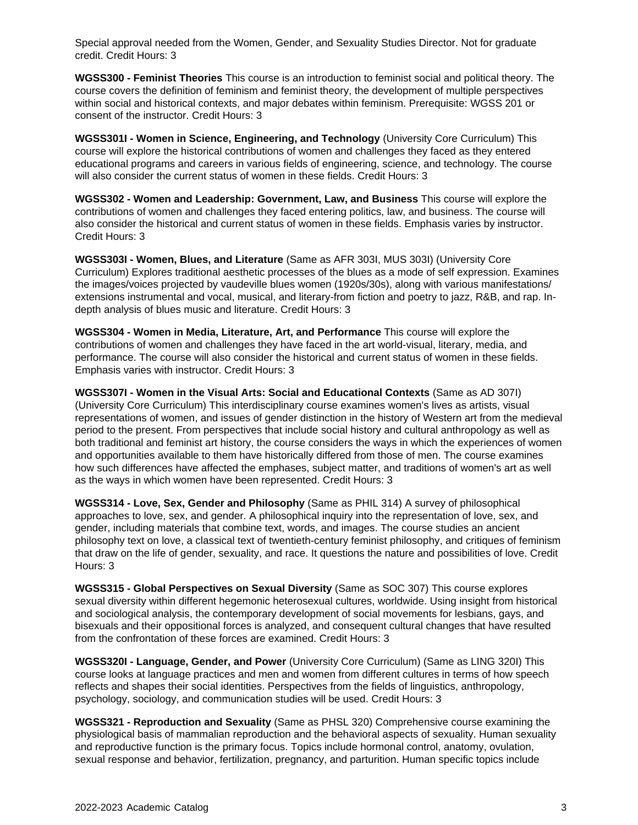Special approval needed from the Women, Gender, and Sexuality Studies Director. Not for graduate credit. Credit Hours: 3

**WGSS300 - Feminist Theories** This course is an introduction to feminist social and political theory. The course covers the definition of feminism and feminist theory, the development of multiple perspectives within social and historical contexts, and major debates within feminism. Prerequisite: WGSS 201 or consent of the instructor. Credit Hours: 3

**WGSS301I - Women in Science, Engineering, and Technology** (University Core Curriculum) This course will explore the historical contributions of women and challenges they faced as they entered educational programs and careers in various fields of engineering, science, and technology. The course will also consider the current status of women in these fields. Credit Hours: 3

**WGSS302 - Women and Leadership: Government, Law, and Business** This course will explore the contributions of women and challenges they faced entering politics, law, and business. The course will also consider the historical and current status of women in these fields. Emphasis varies by instructor. Credit Hours: 3

**WGSS303I - Women, Blues, and Literature** (Same as AFR 303I, MUS 303I) (University Core Curriculum) Explores traditional aesthetic processes of the blues as a mode of self expression. Examines the images/voices projected by vaudeville blues women (1920s/30s), along with various manifestations/ extensions instrumental and vocal, musical, and literary-from fiction and poetry to jazz, R&B, and rap. Indepth analysis of blues music and literature. Credit Hours: 3

**WGSS304 - Women in Media, Literature, Art, and Performance** This course will explore the contributions of women and challenges they have faced in the art world-visual, literary, media, and performance. The course will also consider the historical and current status of women in these fields. Emphasis varies with instructor. Credit Hours: 3

**WGSS307I - Women in the Visual Arts: Social and Educational Contexts** (Same as AD 307I) (University Core Curriculum) This interdisciplinary course examines women's lives as artists, visual representations of women, and issues of gender distinction in the history of Western art from the medieval period to the present. From perspectives that include social history and cultural anthropology as well as both traditional and feminist art history, the course considers the ways in which the experiences of women and opportunities available to them have historically differed from those of men. The course examines how such differences have affected the emphases, subject matter, and traditions of women's art as well as the ways in which women have been represented. Credit Hours: 3

**WGSS314 - Love, Sex, Gender and Philosophy** (Same as PHIL 314) A survey of philosophical approaches to love, sex, and gender. A philosophical inquiry into the representation of love, sex, and gender, including materials that combine text, words, and images. The course studies an ancient philosophy text on love, a classical text of twentieth-century feminist philosophy, and critiques of feminism that draw on the life of gender, sexuality, and race. It questions the nature and possibilities of love. Credit Hours: 3

**WGSS315 - Global Perspectives on Sexual Diversity** (Same as SOC 307) This course explores sexual diversity within different hegemonic heterosexual cultures, worldwide. Using insight from historical and sociological analysis, the contemporary development of social movements for lesbians, gays, and bisexuals and their oppositional forces is analyzed, and consequent cultural changes that have resulted from the confrontation of these forces are examined. Credit Hours: 3

**WGSS320I - Language, Gender, and Power** (University Core Curriculum) (Same as LING 320I) This course looks at language practices and men and women from different cultures in terms of how speech reflects and shapes their social identities. Perspectives from the fields of linguistics, anthropology, psychology, sociology, and communication studies will be used. Credit Hours: 3

**WGSS321 - Reproduction and Sexuality** (Same as PHSL 320) Comprehensive course examining the physiological basis of mammalian reproduction and the behavioral aspects of sexuality. Human sexuality and reproductive function is the primary focus. Topics include hormonal control, anatomy, ovulation, sexual response and behavior, fertilization, pregnancy, and parturition. Human specific topics include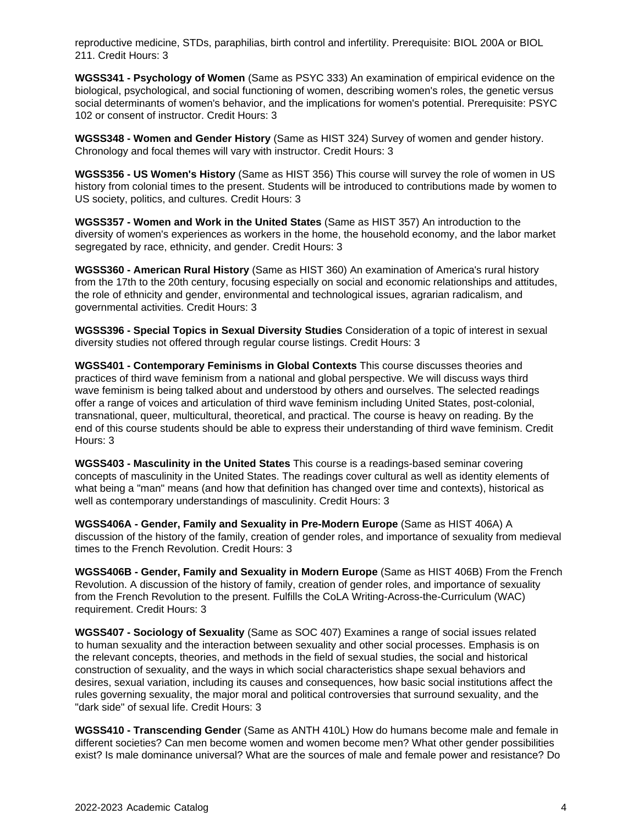reproductive medicine, STDs, paraphilias, birth control and infertility. Prerequisite: BIOL 200A or BIOL 211. Credit Hours: 3

**WGSS341 - Psychology of Women** (Same as PSYC 333) An examination of empirical evidence on the biological, psychological, and social functioning of women, describing women's roles, the genetic versus social determinants of women's behavior, and the implications for women's potential. Prerequisite: PSYC 102 or consent of instructor. Credit Hours: 3

**WGSS348 - Women and Gender History** (Same as HIST 324) Survey of women and gender history. Chronology and focal themes will vary with instructor. Credit Hours: 3

**WGSS356 - US Women's History** (Same as HIST 356) This course will survey the role of women in US history from colonial times to the present. Students will be introduced to contributions made by women to US society, politics, and cultures. Credit Hours: 3

**WGSS357 - Women and Work in the United States** (Same as HIST 357) An introduction to the diversity of women's experiences as workers in the home, the household economy, and the labor market segregated by race, ethnicity, and gender. Credit Hours: 3

**WGSS360 - American Rural History** (Same as HIST 360) An examination of America's rural history from the 17th to the 20th century, focusing especially on social and economic relationships and attitudes, the role of ethnicity and gender, environmental and technological issues, agrarian radicalism, and governmental activities. Credit Hours: 3

**WGSS396 - Special Topics in Sexual Diversity Studies** Consideration of a topic of interest in sexual diversity studies not offered through regular course listings. Credit Hours: 3

**WGSS401 - Contemporary Feminisms in Global Contexts** This course discusses theories and practices of third wave feminism from a national and global perspective. We will discuss ways third wave feminism is being talked about and understood by others and ourselves. The selected readings offer a range of voices and articulation of third wave feminism including United States, post-colonial, transnational, queer, multicultural, theoretical, and practical. The course is heavy on reading. By the end of this course students should be able to express their understanding of third wave feminism. Credit Hours: 3

**WGSS403 - Masculinity in the United States** This course is a readings-based seminar covering concepts of masculinity in the United States. The readings cover cultural as well as identity elements of what being a "man" means (and how that definition has changed over time and contexts), historical as well as contemporary understandings of masculinity. Credit Hours: 3

**WGSS406A - Gender, Family and Sexuality in Pre-Modern Europe** (Same as HIST 406A) A discussion of the history of the family, creation of gender roles, and importance of sexuality from medieval times to the French Revolution. Credit Hours: 3

**WGSS406B - Gender, Family and Sexuality in Modern Europe** (Same as HIST 406B) From the French Revolution. A discussion of the history of family, creation of gender roles, and importance of sexuality from the French Revolution to the present. Fulfills the CoLA Writing-Across-the-Curriculum (WAC) requirement. Credit Hours: 3

**WGSS407 - Sociology of Sexuality** (Same as SOC 407) Examines a range of social issues related to human sexuality and the interaction between sexuality and other social processes. Emphasis is on the relevant concepts, theories, and methods in the field of sexual studies, the social and historical construction of sexuality, and the ways in which social characteristics shape sexual behaviors and desires, sexual variation, including its causes and consequences, how basic social institutions affect the rules governing sexuality, the major moral and political controversies that surround sexuality, and the "dark side" of sexual life. Credit Hours: 3

**WGSS410 - Transcending Gender** (Same as ANTH 410L) How do humans become male and female in different societies? Can men become women and women become men? What other gender possibilities exist? Is male dominance universal? What are the sources of male and female power and resistance? Do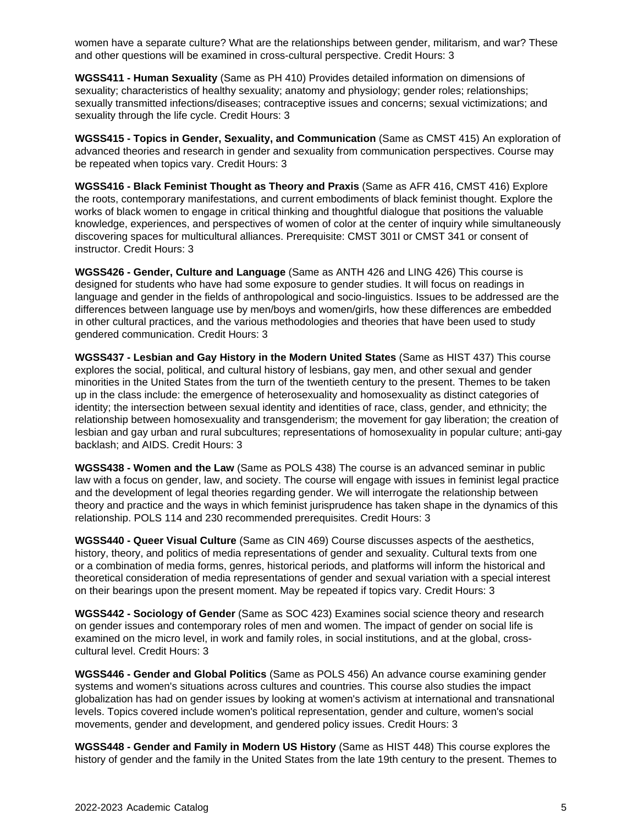women have a separate culture? What are the relationships between gender, militarism, and war? These and other questions will be examined in cross-cultural perspective. Credit Hours: 3

**WGSS411 - Human Sexuality** (Same as PH 410) Provides detailed information on dimensions of sexuality; characteristics of healthy sexuality; anatomy and physiology; gender roles; relationships; sexually transmitted infections/diseases; contraceptive issues and concerns; sexual victimizations; and sexuality through the life cycle. Credit Hours: 3

**WGSS415 - Topics in Gender, Sexuality, and Communication** (Same as CMST 415) An exploration of advanced theories and research in gender and sexuality from communication perspectives. Course may be repeated when topics vary. Credit Hours: 3

**WGSS416 - Black Feminist Thought as Theory and Praxis** (Same as AFR 416, CMST 416) Explore the roots, contemporary manifestations, and current embodiments of black feminist thought. Explore the works of black women to engage in critical thinking and thoughtful dialogue that positions the valuable knowledge, experiences, and perspectives of women of color at the center of inquiry while simultaneously discovering spaces for multicultural alliances. Prerequisite: CMST 301I or CMST 341 or consent of instructor. Credit Hours: 3

**WGSS426 - Gender, Culture and Language** (Same as ANTH 426 and LING 426) This course is designed for students who have had some exposure to gender studies. It will focus on readings in language and gender in the fields of anthropological and socio-linguistics. Issues to be addressed are the differences between language use by men/boys and women/girls, how these differences are embedded in other cultural practices, and the various methodologies and theories that have been used to study gendered communication. Credit Hours: 3

**WGSS437 - Lesbian and Gay History in the Modern United States** (Same as HIST 437) This course explores the social, political, and cultural history of lesbians, gay men, and other sexual and gender minorities in the United States from the turn of the twentieth century to the present. Themes to be taken up in the class include: the emergence of heterosexuality and homosexuality as distinct categories of identity; the intersection between sexual identity and identities of race, class, gender, and ethnicity; the relationship between homosexuality and transgenderism; the movement for gay liberation; the creation of lesbian and gay urban and rural subcultures; representations of homosexuality in popular culture; anti-gay backlash; and AIDS. Credit Hours: 3

**WGSS438 - Women and the Law** (Same as POLS 438) The course is an advanced seminar in public law with a focus on gender, law, and society. The course will engage with issues in feminist legal practice and the development of legal theories regarding gender. We will interrogate the relationship between theory and practice and the ways in which feminist jurisprudence has taken shape in the dynamics of this relationship. POLS 114 and 230 recommended prerequisites. Credit Hours: 3

**WGSS440 - Queer Visual Culture** (Same as CIN 469) Course discusses aspects of the aesthetics, history, theory, and politics of media representations of gender and sexuality. Cultural texts from one or a combination of media forms, genres, historical periods, and platforms will inform the historical and theoretical consideration of media representations of gender and sexual variation with a special interest on their bearings upon the present moment. May be repeated if topics vary. Credit Hours: 3

**WGSS442 - Sociology of Gender** (Same as SOC 423) Examines social science theory and research on gender issues and contemporary roles of men and women. The impact of gender on social life is examined on the micro level, in work and family roles, in social institutions, and at the global, crosscultural level. Credit Hours: 3

**WGSS446 - Gender and Global Politics** (Same as POLS 456) An advance course examining gender systems and women's situations across cultures and countries. This course also studies the impact globalization has had on gender issues by looking at women's activism at international and transnational levels. Topics covered include women's political representation, gender and culture, women's social movements, gender and development, and gendered policy issues. Credit Hours: 3

**WGSS448 - Gender and Family in Modern US History** (Same as HIST 448) This course explores the history of gender and the family in the United States from the late 19th century to the present. Themes to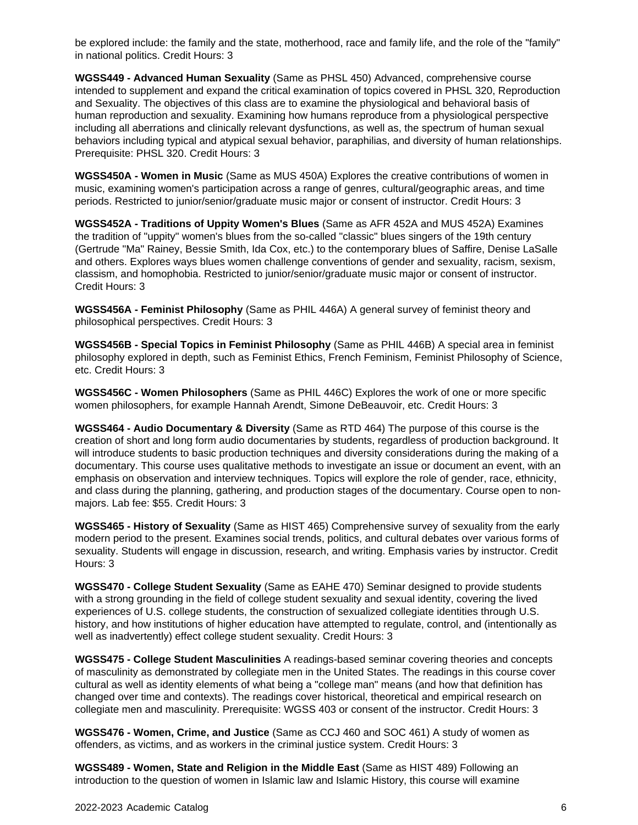be explored include: the family and the state, motherhood, race and family life, and the role of the "family" in national politics. Credit Hours: 3

**WGSS449 - Advanced Human Sexuality** (Same as PHSL 450) Advanced, comprehensive course intended to supplement and expand the critical examination of topics covered in PHSL 320, Reproduction and Sexuality. The objectives of this class are to examine the physiological and behavioral basis of human reproduction and sexuality. Examining how humans reproduce from a physiological perspective including all aberrations and clinically relevant dysfunctions, as well as, the spectrum of human sexual behaviors including typical and atypical sexual behavior, paraphilias, and diversity of human relationships. Prerequisite: PHSL 320. Credit Hours: 3

**WGSS450A - Women in Music** (Same as MUS 450A) Explores the creative contributions of women in music, examining women's participation across a range of genres, cultural/geographic areas, and time periods. Restricted to junior/senior/graduate music major or consent of instructor. Credit Hours: 3

**WGSS452A - Traditions of Uppity Women's Blues** (Same as AFR 452A and MUS 452A) Examines the tradition of "uppity" women's blues from the so-called "classic" blues singers of the 19th century (Gertrude "Ma" Rainey, Bessie Smith, Ida Cox, etc.) to the contemporary blues of Saffire, Denise LaSalle and others. Explores ways blues women challenge conventions of gender and sexuality, racism, sexism, classism, and homophobia. Restricted to junior/senior/graduate music major or consent of instructor. Credit Hours: 3

**WGSS456A - Feminist Philosophy** (Same as PHIL 446A) A general survey of feminist theory and philosophical perspectives. Credit Hours: 3

**WGSS456B - Special Topics in Feminist Philosophy** (Same as PHIL 446B) A special area in feminist philosophy explored in depth, such as Feminist Ethics, French Feminism, Feminist Philosophy of Science, etc. Credit Hours: 3

**WGSS456C - Women Philosophers** (Same as PHIL 446C) Explores the work of one or more specific women philosophers, for example Hannah Arendt, Simone DeBeauvoir, etc. Credit Hours: 3

**WGSS464 - Audio Documentary & Diversity** (Same as RTD 464) The purpose of this course is the creation of short and long form audio documentaries by students, regardless of production background. It will introduce students to basic production techniques and diversity considerations during the making of a documentary. This course uses qualitative methods to investigate an issue or document an event, with an emphasis on observation and interview techniques. Topics will explore the role of gender, race, ethnicity, and class during the planning, gathering, and production stages of the documentary. Course open to nonmajors. Lab fee: \$55. Credit Hours: 3

**WGSS465 - History of Sexuality** (Same as HIST 465) Comprehensive survey of sexuality from the early modern period to the present. Examines social trends, politics, and cultural debates over various forms of sexuality. Students will engage in discussion, research, and writing. Emphasis varies by instructor. Credit Hours: 3

**WGSS470 - College Student Sexuality** (Same as EAHE 470) Seminar designed to provide students with a strong grounding in the field of college student sexuality and sexual identity, covering the lived experiences of U.S. college students, the construction of sexualized collegiate identities through U.S. history, and how institutions of higher education have attempted to regulate, control, and (intentionally as well as inadvertently) effect college student sexuality. Credit Hours: 3

**WGSS475 - College Student Masculinities** A readings-based seminar covering theories and concepts of masculinity as demonstrated by collegiate men in the United States. The readings in this course cover cultural as well as identity elements of what being a "college man" means (and how that definition has changed over time and contexts). The readings cover historical, theoretical and empirical research on collegiate men and masculinity. Prerequisite: WGSS 403 or consent of the instructor. Credit Hours: 3

**WGSS476 - Women, Crime, and Justice** (Same as CCJ 460 and SOC 461) A study of women as offenders, as victims, and as workers in the criminal justice system. Credit Hours: 3

**WGSS489 - Women, State and Religion in the Middle East** (Same as HIST 489) Following an introduction to the question of women in Islamic law and Islamic History, this course will examine